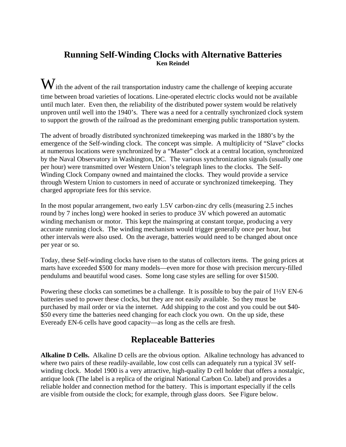### **Running Self-Winding Clocks with Alternative Batteries Ken Reindel**

 $\mathbf W$  ith the advent of the rail transportation industry came the challenge of keeping accurate time between broad varieties of locations. Line-operated electric clocks would not be available until much later. Even then, the reliability of the distributed power system would be relatively unproven until well into the 1940's. There was a need for a centrally synchronized clock system to support the growth of the railroad as the predominant emerging public transportation system.

The advent of broadly distributed synchronized timekeeping was marked in the 1880's by the emergence of the Self-winding clock. The concept was simple. A multiplicity of "Slave" clocks at numerous locations were synchronized by a "Master" clock at a central location, synchronized by the Naval Observatory in Washington, DC. The various synchronization signals (usually one per hour) were transmitted over Western Union's telegraph lines to the clocks. The Self-Winding Clock Company owned and maintained the clocks. They would provide a service through Western Union to customers in need of accurate or synchronized timekeeping. They charged appropriate fees for this service.

In the most popular arrangement, two early 1.5V carbon-zinc dry cells (measuring 2.5 inches round by 7 inches long) were hooked in series to produce 3V which powered an automatic winding mechanism or motor. This kept the mainspring at constant torque, producing a very accurate running clock. The winding mechanism would trigger generally once per hour, but other intervals were also used. On the average, batteries would need to be changed about once per year or so.

Today, these Self-winding clocks have risen to the status of collectors items. The going prices at marts have exceeded \$500 for many models—even more for those with precision mercury-filled pendulums and beautiful wood cases. Some long case styles are selling for over \$1500.

Powering these clocks can sometimes be a challenge. It is possible to buy the pair of 1½V EN-6 batteries used to power these clocks, but they are not easily available. So they must be purchased by mail order or via the internet. Add shipping to the cost and you could be out \$40- \$50 every time the batteries need changing for each clock you own. On the up side, these Eveready EN-6 cells have good capacity—as long as the cells are fresh.

# **Replaceable Batteries**

**Alkaline D Cells.** Alkaline D cells are the obvious option. Alkaline technology has advanced to where two pairs of these readily-available, low cost cells can adequately run a typical 3V selfwinding clock. Model 1900 is a very attractive, high-quality D cell holder that offers a nostalgic, antique look (The label is a replica of the original National Carbon Co. label) and provides a reliable holder and connection method for the battery. This is important especially if the cells are visible from outside the clock; for example, through glass doors. See Figure below.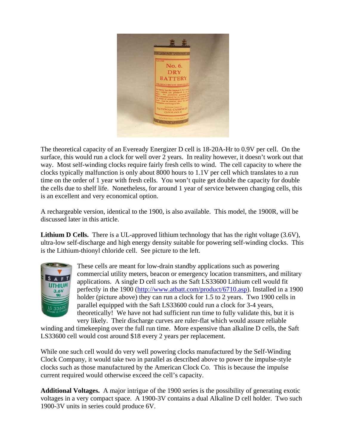

The theoretical capacity of an Eveready Energizer D cell is 18-20A-Hr to 0.9V per cell. On the surface, this would run a clock for well over 2 years. In reality however, it doesn't work out that way. Most self-winding clocks require fairly fresh cells to wind. The cell capacity to where the clocks typically malfunction is only about 8000 hours to 1.1V per cell which translates to a run time on the order of 1 year with fresh cells. You won't quite get double the capacity for double the cells due to shelf life. Nonetheless, for around 1 year of service between changing cells, this is an excellent and very economical option.

A rechargeable version, identical to the 1900, is also available. This model, the 1900R, will be discussed later in this article.

**Lithium D Cells.** There is a UL-approved lithium technology that has the right voltage (3.6V), ultra-low self-discharge and high energy density suitable for powering self-winding clocks. This is the Lithium-thionyl chloride cell. See picture to the left.



These cells are meant for low-drain standby applications such as powering commercial utility meters, beacon or emergency location transmitters, and military applications. A single D cell such as the Saft LS33600 Lithium cell would fit perfectly in the 1900 (http://www.atbatt.com/product/6710.asp). Installed in a 1900 holder (picture above) they can run a clock for 1.5 to 2 years. Two 1900 cells in parallel equipped with the Saft LS33600 could run a clock for 3-4 years, theoretically! We have not had sufficient run time to fully validate this, but it is very likely. Their discharge curves are ruler-flat which would assure reliable

winding and timekeeping over the full run time. More expensive than alkaline D cells, the Saft LS33600 cell would cost around \$18 every 2 years per replacement.

While one such cell would do very well powering clocks manufactured by the Self-Winding Clock Company, it would take two in parallel as described above to power the impulse-style clocks such as those manufactured by the American Clock Co. This is because the impulse current required would otherwise exceed the cell's capacity.

**Additional Voltages.** A major intrigue of the 1900 series is the possibility of generating exotic voltages in a very compact space. A 1900-3V contains a dual Alkaline D cell holder. Two such 1900-3V units in series could produce 6V.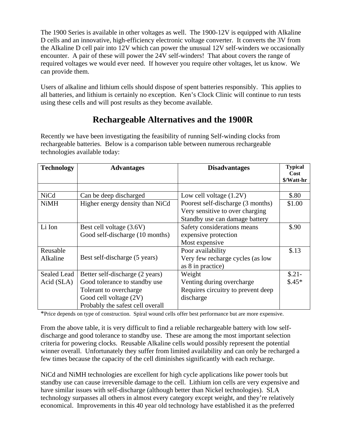The 1900 Series is available in other voltages as well. The 1900-12V is equipped with Alkaline D cells and an innovative, high-efficiency electronic voltage converter. It converts the 3V from the Alkaline D cell pair into 12V which can power the unusual 12V self-winders we occasionally encounter. A pair of these will power the 24V self-winders! That about covers the range of required voltages we would ever need. If however you require other voltages, let us know. We can provide them.

Users of alkaline and lithium cells should dispose of spent batteries responsibly. This applies to all batteries, and lithium is certainly no exception. Ken's Clock Clinic will continue to run tests using these cells and will post results as they become available.

# **Rechargeable Alternatives and the 1900R**

Recently we have been investigating the feasibility of running Self-winding clocks from rechargeable batteries. Below is a comparison table between numerous rechargeable technologies available today:

| <b>Technology</b> | <b>Advantages</b>                | <b>Disadvantages</b>               | <b>Typical</b><br>Cost |
|-------------------|----------------------------------|------------------------------------|------------------------|
|                   |                                  |                                    | \$/Watt-hr             |
| <b>NiCd</b>       | Can be deep discharged           | Low cell voltage $(1.2V)$          | \$.80                  |
| <b>NiMH</b>       | Higher energy density than NiCd  | Poorest self-discharge (3 months)  | \$1.00                 |
|                   |                                  | Very sensitive to over charging    |                        |
|                   |                                  | Standby use can damage battery     |                        |
| Li Ion            | Best cell voltage (3.6V)         | Safety considerations means        | \$.90                  |
|                   | Good self-discharge (10 months)  | expensive protection               |                        |
|                   |                                  | Most expensive                     |                        |
| Reusable          |                                  | Poor availability                  | \$.13                  |
| Alkaline          | Best self-discharge (5 years)    | Very few recharge cycles (as low   |                        |
|                   |                                  | as 8 in practice)                  |                        |
| Sealed Lead       | Better self-discharge (2 years)  | Weight                             | $$.21-$                |
| Acid (SLA)        | Good tolerance to standby use    | Venting during overcharge          | $$.45*$                |
|                   | Tolerant to overcharge           | Requires circuitry to prevent deep |                        |
|                   | Good cell voltage (2V)           | discharge                          |                        |
|                   | Probably the safest cell overall |                                    |                        |

\*Price depends on type of construction. Spiral wound cells offer best performance but are more expensive.

From the above table, it is very difficult to find a reliable rechargeable battery with low selfdischarge and good tolerance to standby use. These are among the most important selection criteria for powering clocks. Reusable Alkaline cells would possibly represent the potential winner overall. Unfortunately they suffer from limited availability and can only be recharged a few times because the capacity of the cell diminishes significantly with each recharge.

NiCd and NiMH technologies are excellent for high cycle applications like power tools but standby use can cause irreversible damage to the cell. Lithium ion cells are very expensive and have similar issues with self-discharge (although better than Nickel technologies). SLA technology surpasses all others in almost every category except weight, and they're relatively economical. Improvements in this 40 year old technology have established it as the preferred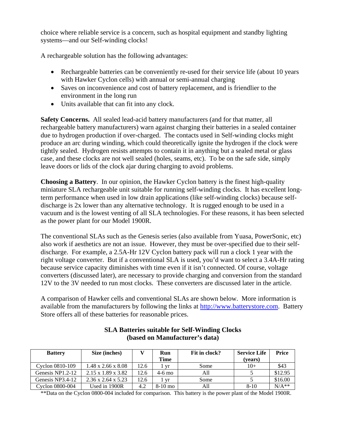choice where reliable service is a concern, such as hospital equipment and standby lighting systems—and our Self-winding clocks!

A rechargeable solution has the following advantages:

- Rechargeable batteries can be conveniently re-used for their service life (about 10 years with Hawker Cyclon cells) with annual or semi-annual charging
- Saves on inconvenience and cost of battery replacement, and is friendlier to the environment in the long run
- Units available that can fit into any clock.

**Safety Concerns.** All sealed lead-acid battery manufacturers (and for that matter, all rechargeable battery manufacturers) warn against charging their batteries in a sealed container due to hydrogen production if over-charged. The contacts used in Self-winding clocks might produce an arc during winding, which could theoretically ignite the hydrogen if the clock were tightly sealed. Hydrogen resists attempts to contain it in anything but a sealed metal or glass case, and these clocks are not well sealed (holes, seams, etc). To be on the safe side, simply leave doors or lids of the clock ajar during charging to avoid problems.

**Choosing a Battery**. In our opinion, the Hawker Cyclon battery is the finest high-quality miniature SLA rechargeable unit suitable for running self-winding clocks. It has excellent longterm performance when used in low drain applications (like self-winding clocks) because selfdischarge is 2x lower than any alternative technology. It is rugged enough to be used in a vacuum and is the lowest venting of all SLA technologies. For these reasons, it has been selected as the power plant for our Model 1900R.

The conventional SLAs such as the Genesis series (also available from Yuasa, PowerSonic, etc) also work if aesthetics are not an issue. However, they must be over-specified due to their selfdischarge. For example, a 2.5A-Hr 12V Cyclon battery pack will run a clock 1 year with the right voltage converter. But if a conventional SLA is used, you'd want to select a 3.4A-Hr rating because service capacity diminishes with time even if it isn't connected. Of course, voltage converters (discussed later), are necessary to provide charging and conversion from the standard 12V to the 3V needed to run most clocks. These converters are discussed later in the article.

A comparison of Hawker cells and conventional SLAs are shown below. More information is available from the manufacturers by following the links at http://www.batterystore.com. Battery Store offers all of these batteries for reasonable prices.

| <b>Battery</b>     | Size (inches)                  |      | Run       | Fit in clock? | <b>Service Life</b> | <b>Price</b> |
|--------------------|--------------------------------|------|-----------|---------------|---------------------|--------------|
|                    |                                |      | Time      |               | (vears)             |              |
| Cyclon 0810-109    | $1.48 \times 2.66 \times 8.08$ | 12.6 | vr        | Some          | 10+                 | \$43         |
| Genesis $NP1.2-12$ | $2.15 \times 1.89 \times 3.82$ | 12.6 | $4-6$ mo  | All           |                     | \$12.95      |
| Genesis NP3.4-12   | $2.36 \times 2.64 \times 5.23$ | 12.6 | vr        | Some          |                     | \$16.00      |
| Cyclon 0800-004    | Used in 1900R                  | 4.2  | $8-10$ mo |               | $8 - 10$            | $N/A**$      |

#### **SLA Batteries suitable for Self-Winding Clocks (based on Manufacturer's data)**

\*\*Data on the Cyclon 0800-004 included for comparison. This battery is the power plant of the Model 1900R.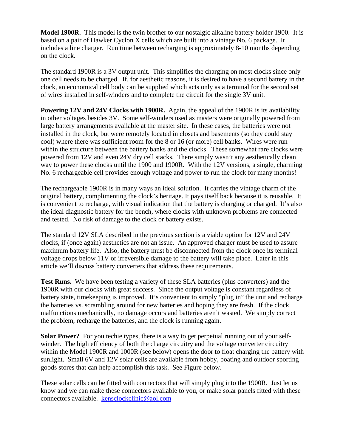**Model 1900R.** This model is the twin brother to our nostalgic alkaline battery holder 1900. It is based on a pair of Hawker Cyclon X cells which are built into a vintage No. 6 package. It includes a line charger. Run time between recharging is approximately 8-10 months depending on the clock.

The standard 1900R is a 3V output unit. This simplifies the charging on most clocks since only one cell needs to be charged. If, for aesthetic reasons, it is desired to have a second battery in the clock, an economical cell body can be supplied which acts only as a terminal for the second set of wires installed in self-winders and to complete the circuit for the single 3V unit.

**Powering 12V and 24V Clocks with 1900R.** Again, the appeal of the 1900R is its availability in other voltages besides 3V. Some self-winders used as masters were originally powered from large battery arrangements available at the master site. In these cases, the batteries were not installed in the clock, but were remotely located in closets and basements (so they could stay cool) where there was sufficient room for the 8 or 16 (or more) cell banks. Wires were run within the structure between the battery banks and the clocks. These somewhat rare clocks were powered from 12V and even 24V dry cell stacks. There simply wasn't any aesthetically clean way to power these clocks until the 1900 and 1900R. With the 12V versions, a single, charming No. 6 rechargeable cell provides enough voltage and power to run the clock for many months!

The rechargeable 1900R is in many ways an ideal solution. It carries the vintage charm of the original battery, complimenting the clock's heritage. It pays itself back because it is reusable. It is convenient to recharge, with visual indication that the battery is charging or charged. It's also the ideal diagnostic battery for the bench, where clocks with unknown problems are connected and tested. No risk of damage to the clock or battery exists.

The standard 12V SLA described in the previous section is a viable option for 12V and 24V clocks, if (once again) aesthetics are not an issue. An approved charger must be used to assure maximum battery life. Also, the battery must be disconnected from the clock once its terminal voltage drops below 11V or irreversible damage to the battery will take place. Later in this article we'll discuss battery converters that address these requirements.

**Test Runs.** We have been testing a variety of these SLA batteries (plus converters) and the 1900R with our clocks with great success. Since the output voltage is constant regardless of battery state, timekeeping is improved. It's convenient to simply "plug in" the unit and recharge the batteries vs. scrambling around for new batteries and hoping they are fresh. If the clock malfunctions mechanically, no damage occurs and batteries aren't wasted. We simply correct the problem, recharge the batteries, and the clock is running again.

**Solar Power?** For you techie types, there is a way to get perpetual running out of your selfwinder. The high efficiency of both the charge circuitry and the voltage converter circuitry within the Model 1900R and 1000R (see below) opens the door to float charging the battery with sunlight. Small 6V and 12V solar cells are available from hobby, boating and outdoor sporting goods stores that can help accomplish this task. See Figure below.

These solar cells can be fitted with connectors that will simply plug into the 1900R. Just let us know and we can make these connectors available to you, or make solar panels fitted with these connectors available. kensclockclinic@aol.com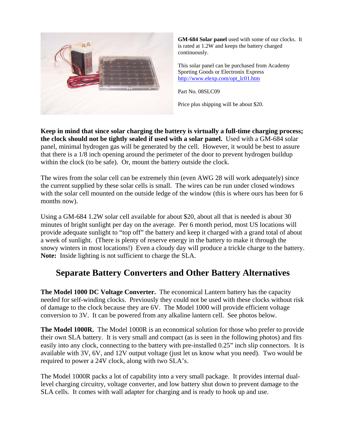

**GM-684 Solar panel** used with some of our clocks. It is rated at 1.2W and keeps the battery charged continuously.

This solar panel can be purchased from Academy Sporting Goods or Electronix Express http://www.elexp.com/opt\_lc01.htm

Part No. 08SLC09

Price plus shipping will be about \$20.

**Keep in mind that since solar charging the battery is virtually a full-time charging process; the clock should not be tightly sealed if used with a solar panel.** Used with a GM-684 solar panel, minimal hydrogen gas will be generated by the cell. However, it would be best to assure that there is a 1/8 inch opening around the perimeter of the door to prevent hydrogen buildup within the clock (to be safe). Or, mount the battery outside the clock.

The wires from the solar cell can be extremely thin (even AWG 28 will work adequately) since the current supplied by these solar cells is small. The wires can be run under closed windows with the solar cell mounted on the outside ledge of the window (this is where ours has been for 6 months now).

Using a GM-684 1.2W solar cell available for about \$20, about all that is needed is about 30 minutes of bright sunlight per day on the average. Per 6 month period, most US locations will provide adequate sunlight to "top off" the battery and keep it charged with a grand total of about a week of sunlight. (There is plenty of reserve energy in the battery to make it through the snowy winters in most locations!) Even a cloudy day will produce a trickle charge to the battery. **Note:** Inside lighting is not sufficient to charge the SLA.

# **Separate Battery Converters and Other Battery Alternatives**

**The Model 1000 DC Voltage Converter.** The economical Lantern battery has the capacity needed for self-winding clocks. Previously they could not be used with these clocks without risk of damage to the clock because they are 6V. The Model 1000 will provide efficient voltage conversion to 3V. It can be powered from any alkaline lantern cell. See photos below.

**The Model 1000R.** The Model 1000R is an economical solution for those who prefer to provide their own SLA battery. It is very small and compact (as is seen in the following photos) and fits easily into any clock, connecting to the battery with pre-installed 0.25" inch slip connectors. It is available with 3V, 6V, and 12V output voltage (just let us know what you need). Two would be required to power a 24V clock, along with two SLA's.

The Model 1000R packs a lot of capability into a very small package. It provides internal duallevel charging circuitry, voltage converter, and low battery shut down to prevent damage to the SLA cells. It comes with wall adapter for charging and is ready to hook up and use.